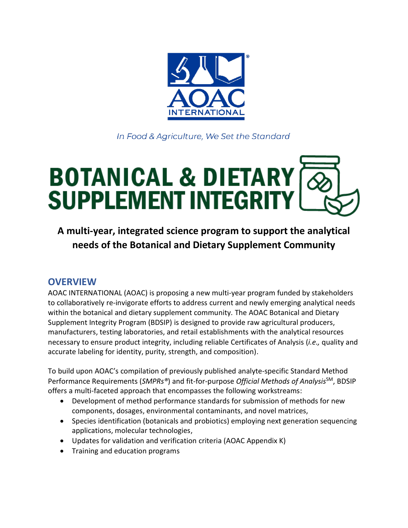

In Food & Agriculture, We Set the Standard

# **BOTANICAL & DIETARY<br>SUPPLEMENT INTEGRITY**

**A multi-year, integrated science program to support the analytical needs of the Botanical and Dietary Supplement Community**

#### **OVERVIEW**

AOAC INTERNATIONAL (AOAC) is proposing a new multi-year program funded by stakeholders to collaboratively re-invigorate efforts to address current and newly emerging analytical needs within the botanical and dietary supplement community. The AOAC Botanical and Dietary Supplement Integrity Program (BDSIP) is designed to provide raw agricultural producers, manufacturers, testing laboratories, and retail establishments with the analytical resources necessary to ensure product integrity, including reliable Certificates of Analysis (*i.e.,* quality and accurate labeling for identity, purity, strength, and composition).

To build upon AOAC's compilation of previously published analyte-specific Standard Method Performance Requirements (*SMPRs®*) and fit-for-purpose *Official Methods of Analysis*SM, BDSIP offers a multi-faceted approach that encompasses the following workstreams:

- Development of method performance standards for submission of methods for new components, dosages, environmental contaminants, and novel matrices,
- Species identification (botanicals and probiotics) employing next generation sequencing applications, molecular technologies,
- Updates for validation and verification criteria (AOAC Appendix K)
- Training and education programs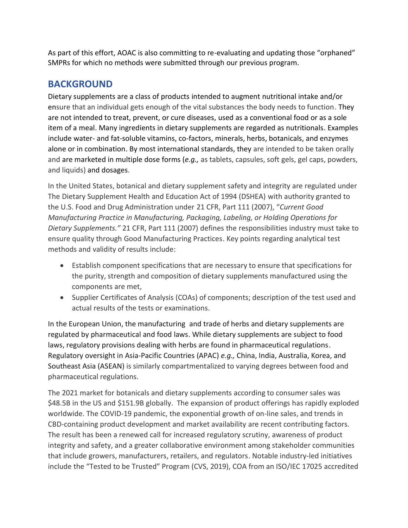As part of this effort, AOAC is also committing to re-evaluating and updating those "orphaned" SMPRs for which no methods were submitted through our previous program.

#### **BACKGROUND**

Dietary supplements are a class of products intended to augment nutritional intake and/or ensure that an individual gets enough of the vital substances the body needs to function. They are not intended to treat, prevent, or cure diseases, used as a conventional food or as a sole item of a meal. Many ingredients in dietary supplements are regarded as nutritionals. Examples include water- and fat-soluble vitamins, co-factors, minerals, herbs, botanicals, and enzymes alone or in combination. By most international standards, they are intended to be taken orally and are marketed in multiple dose forms (*e.g.,* as tablets, capsules, soft gels, gel caps, powders, and liquids) and dosages.

In the United States, botanical and dietary supplement safety and integrity are regulated under The Dietary Supplement Health and Education Act of 1994 (DSHEA) with authority granted to the U.S. Food and Drug Administration under 21 CFR, Part 111 (2007), "*Current Good Manufacturing Practice in Manufacturing, Packaging, Labeling, or Holding Operations for Dietary Supplements."* 21 CFR, Part 111 (2007) defines the responsibilities industry must take to ensure quality through Good Manufacturing Practices. Key points regarding analytical test methods and validity of results include:

- Establish component specifications that are necessary to ensure that specifications for the purity, strength and composition of dietary supplements manufactured using the components are met,
- Supplier Certificates of Analysis (COAs) of components; description of the test used and actual results of the tests or examinations.

In the European Union, the manufacturing and trade of herbs and dietary supplements are regulated by pharmaceutical and food laws. While dietary supplements are subject to food laws, regulatory provisions dealing with herbs are found in pharmaceutical regulations. Regulatory oversight in Asia-Pacific Countries (APAC) *e.g.,* China, India, Australia, Korea, and Southeast Asia (ASEAN) is similarly compartmentalized to varying degrees between food and pharmaceutical regulations.

The 2021 market for botanicals and dietary supplements according to consumer sales was \$48.5B in the US and \$151.9B globally. The expansion of product offerings has rapidly exploded worldwide. The COVID-19 pandemic, the exponential growth of on-line sales, and trends in CBD-containing product development and market availability are recent contributing factors. The result has been a renewed call for increased regulatory scrutiny, awareness of product integrity and safety, and a greater collaborative environment among stakeholder communities that include growers, manufacturers, retailers, and regulators. Notable industry-led initiatives include the "Tested to be Trusted" Program (CVS, 2019), COA from an ISO/IEC 17025 accredited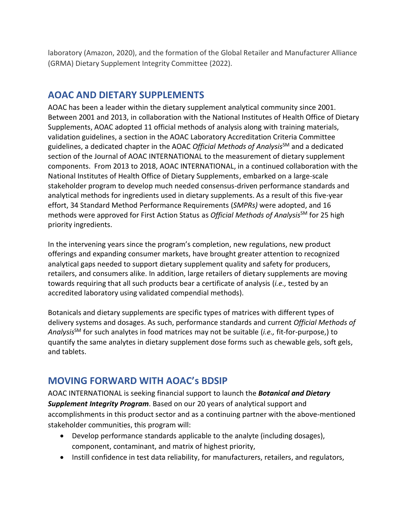laboratory (Amazon, 2020), and the formation of the Global Retailer and Manufacturer Alliance (GRMA) Dietary Supplement Integrity Committee (2022).

### **AOAC AND DIETARY SUPPLEMENTS**

AOAC has been a leader within the dietary supplement analytical community since 2001. Between 2001 and 2013, in collaboration with the National Institutes of Health Office of Dietary Supplements, AOAC adopted 11 official methods of analysis along with training materials, validation guidelines, a section in the AOAC Laboratory Accreditation Criteria Committee guidelines, a dedicated chapter in the AOAC *Official Methods of Analysis*SM and a dedicated section of the Journal of AOAC INTERNATIONAL to the measurement of dietary supplement components. From 2013 to 2018, AOAC INTERNATIONAL, in a continued collaboration with the National Institutes of Health Office of Dietary Supplements, embarked on a large-scale stakeholder program to develop much needed consensus-driven performance standards and analytical methods for ingredients used in dietary supplements. As a result of this five-year effort, 34 Standard Method Performance Requirements (*SMPRs)* were adopted, and 16 methods were approved for First Action Status as *Official Methods of Analysis*SM for 25 high priority ingredients.

In the intervening years since the program's completion, new regulations, new product offerings and expanding consumer markets, have brought greater attention to recognized analytical gaps needed to support dietary supplement quality and safety for producers, retailers, and consumers alike. In addition, large retailers of dietary supplements are moving towards requiring that all such products bear a certificate of analysis (*i.e.,* tested by an accredited laboratory using validated compendial methods).

Botanicals and dietary supplements are specific types of matrices with different types of delivery systems and dosages. As such, performance standards and current *Official Methods of Analysis*SM for such analytes in food matrices may not be suitable (*i.e.,* fit-for-purpose,) to quantify the same analytes in dietary supplement dose forms such as chewable gels, soft gels, and tablets.

# **MOVING FORWARD WITH AOAC's BDSIP**

AOAC INTERNATIONAL is seeking financial support to launch the *Botanical and Dietary Supplement Integrity Program*. Based on our 20 years of analytical support and accomplishments in this product sector and as a continuing partner with the above-mentioned stakeholder communities, this program will:

- Develop performance standards applicable to the analyte (including dosages), component, contaminant, and matrix of highest priority,
- Instill confidence in test data reliability, for manufacturers, retailers, and regulators,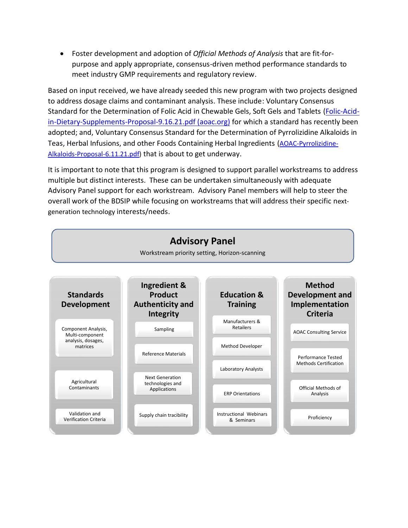• Foster development and adoption of *Official Methods of Analysis* that are fit-forpurpose and apply appropriate, consensus-driven method performance standards to meet industry GMP requirements and regulatory review.

Based on input received, we have already seeded this new program with two projects designed to address dosage claims and contaminant analysis. These include: Voluntary Consensus Standard for the Determination of Folic Acid in Chewable Gels, Soft Gels and Tablets [\(Folic-Acid](https://www.aoac.org/wp-content/uploads/2021/09/Folic-Acid-in-Dietary-Supplements-Proposal-9.16.21.pdf)[in-Dietary-Supplements-Proposal-9.16.21.pdf \(aoac.org\)](https://www.aoac.org/wp-content/uploads/2021/09/Folic-Acid-in-Dietary-Supplements-Proposal-9.16.21.pdf) for which a standard has recently been adopted; and, Voluntary Consensus Standard for the Determination of Pyrrolizidine Alkaloids in Teas, Herbal Infusions, and other Foods Containing Herbal Ingredients ([AOAC-Pyrrolizidine-](https://www.aoac.org/wp-content/uploads/2021/06/AOAC-Pyrrolizidine-Alkaloids-Proposal-6.11.21.pdf)[Alkaloids-Proposal-6.11.21.pdf\)](https://www.aoac.org/wp-content/uploads/2021/06/AOAC-Pyrrolizidine-Alkaloids-Proposal-6.11.21.pdf) that is about to get underway.

It is important to note that this program is designed to support parallel workstreams to address multiple but distinct interests. These can be undertaken simultaneously with adequate Advisory Panel support for each workstream. Advisory Panel members will help to steer the overall work of the BDSIP while focusing on workstreams that will address their specific nextgeneration technology interests/needs.

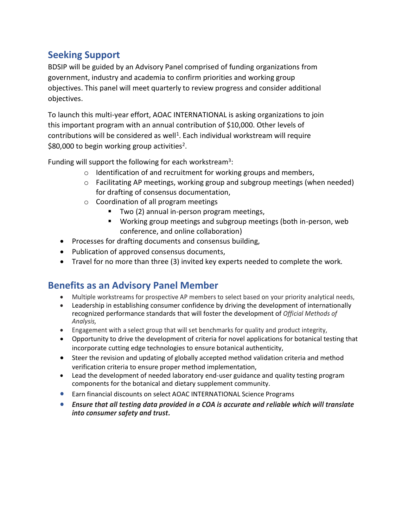# **Seeking Support**

BDSIP will be guided by an Advisory Panel comprised of funding organizations from government, industry and academia to confirm priorities and working group objectives. This panel will meet quarterly to review progress and consider additional objectives.

To launch this multi-year effort, AOAC INTERNATIONAL is asking organizations to join this important program with an annual contribution of \$10,000. Other levels of contributions will be considered as well<sup>1</sup>. Each individual workstream will require \$80,000 to begin working group activities<sup>2</sup>.

Funding will support the following for each workstream<sup>3</sup>:

- o Identification of and recruitment for working groups and members,
- $\circ$  Facilitating AP meetings, working group and subgroup meetings (when needed) for drafting of consensus documentation,
- o Coordination of all program meetings
	- Two (2) annual in-person program meetings,
	- Working group meetings and subgroup meetings (both in-person, web conference, and online collaboration)
- Processes for drafting documents and consensus building,
- Publication of approved consensus documents,
- Travel for no more than three (3) invited key experts needed to complete the work.

# **Benefits as an Advisory Panel Member**

- Multiple workstreams for prospective AP members to select based on your priority analytical needs,
- Leadership in establishing consumer confidence by driving the development of internationally recognized performance standards that will foster the development of *Official Methods of Analysis,*
- Engagement with a select group that will set benchmarks for quality and product integrity,
- Opportunity to drive the development of criteria for novel applications for botanical testing that incorporate cutting edge technologies to ensure botanical authenticity,
- Steer the revision and updating of globally accepted method validation criteria and method verification criteria to ensure proper method implementation,
- Lead the development of needed laboratory end-user guidance and quality testing program components for the botanical and dietary supplement community.
- Earn financial discounts on select AOAC INTERNATIONAL Science Programs
- *Ensure that all testing data provided in a COA is accurate and reliable which will translate into consumer safety and trust.*